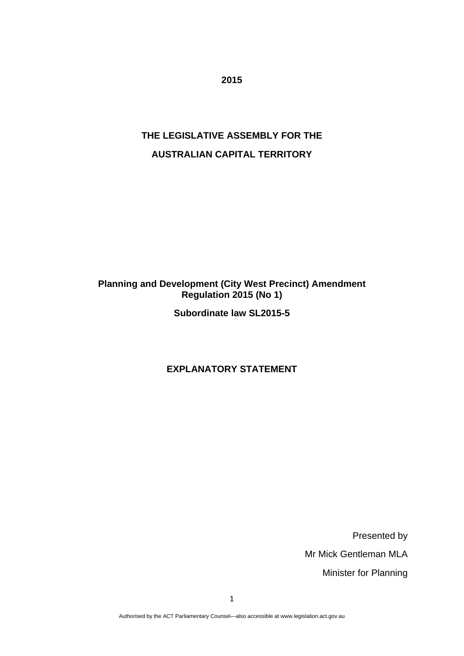**2015** 

# **THE LEGISLATIVE ASSEMBLY FOR THE AUSTRALIAN CAPITAL TERRITORY**

# **Planning and Development (City West Precinct) Amendment Regulation 2015 (No 1)**

**Subordinate law SL2015-5** 

# **EXPLANATORY STATEMENT**

Presented by Mr Mick Gentleman MLA Minister for Planning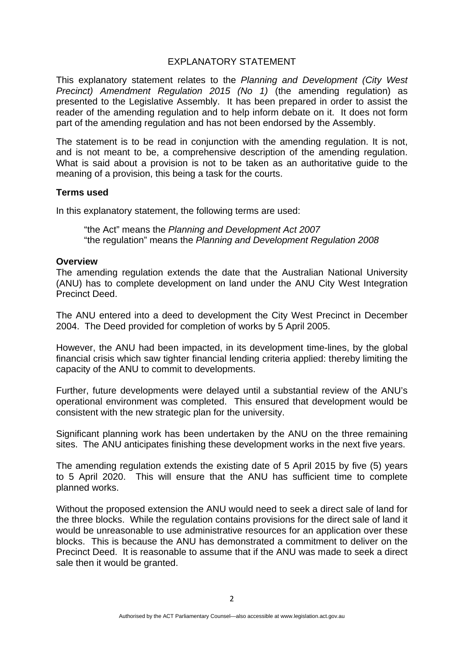#### EXPLANATORY STATEMENT

This explanatory statement relates to the *Planning and Development (City West Precinct) Amendment Regulation 2015 (No 1)* (the amending regulation) as presented to the Legislative Assembly. It has been prepared in order to assist the reader of the amending regulation and to help inform debate on it. It does not form part of the amending regulation and has not been endorsed by the Assembly.

The statement is to be read in conjunction with the amending regulation. It is not, and is not meant to be, a comprehensive description of the amending regulation. What is said about a provision is not to be taken as an authoritative guide to the meaning of a provision, this being a task for the courts.

#### **Terms used**

In this explanatory statement, the following terms are used:

"the Act" means the *Planning and Development Act 2007* "the regulation" means the *Planning and Development Regulation 2008* 

#### **Overview**

The amending regulation extends the date that the Australian National University (ANU) has to complete development on land under the ANU City West Integration Precinct Deed.

The ANU entered into a deed to development the City West Precinct in December 2004. The Deed provided for completion of works by 5 April 2005.

However, the ANU had been impacted, in its development time-lines, by the global financial crisis which saw tighter financial lending criteria applied: thereby limiting the capacity of the ANU to commit to developments.

Further, future developments were delayed until a substantial review of the ANU's operational environment was completed. This ensured that development would be consistent with the new strategic plan for the university.

Significant planning work has been undertaken by the ANU on the three remaining sites. The ANU anticipates finishing these development works in the next five years.

The amending regulation extends the existing date of 5 April 2015 by five (5) years to 5 April 2020. This will ensure that the ANU has sufficient time to complete planned works.

Without the proposed extension the ANU would need to seek a direct sale of land for the three blocks. While the regulation contains provisions for the direct sale of land it would be unreasonable to use administrative resources for an application over these blocks. This is because the ANU has demonstrated a commitment to deliver on the Precinct Deed. It is reasonable to assume that if the ANU was made to seek a direct sale then it would be granted.